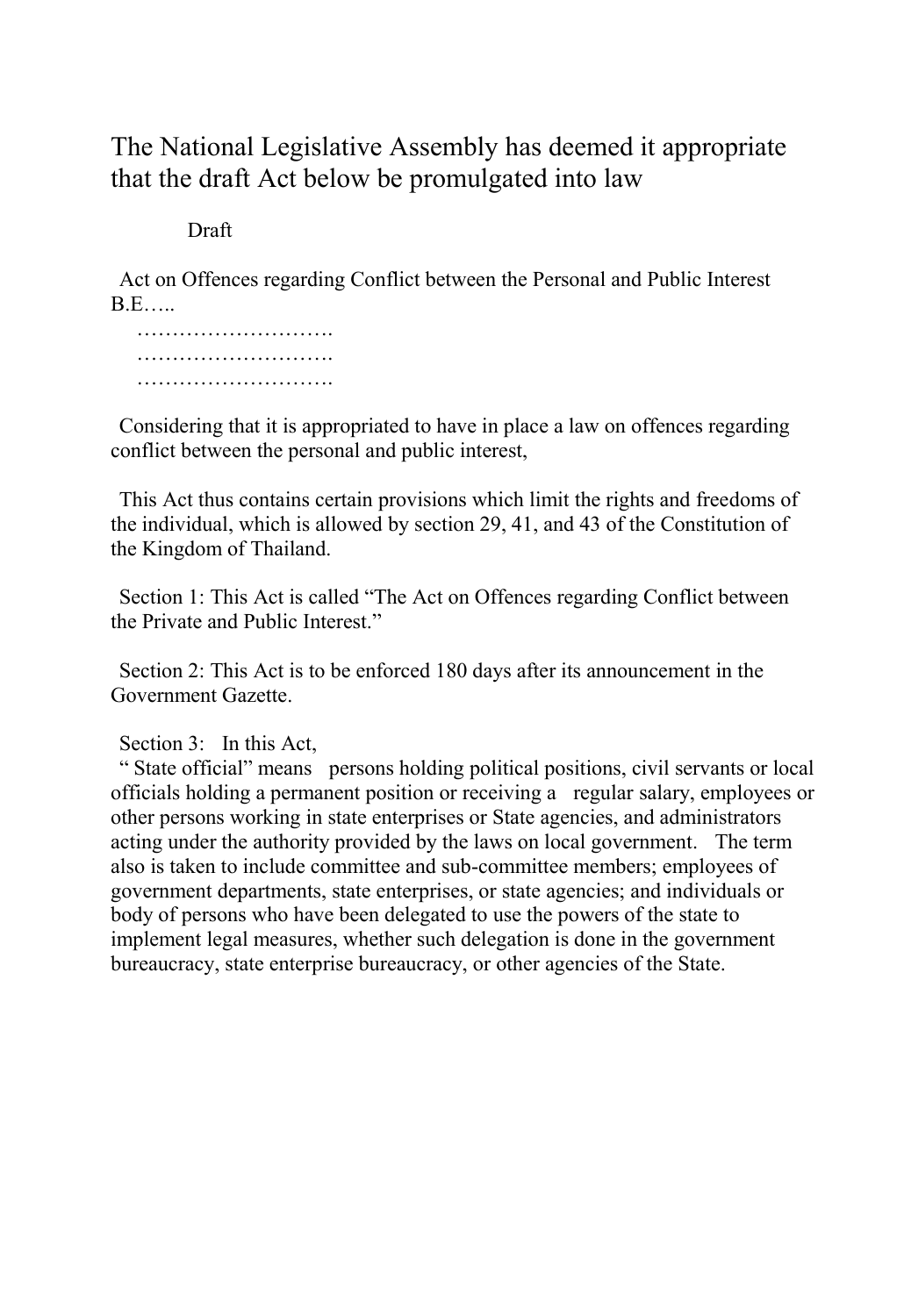## The National Legislative Assembly has deemed it appropriate that the draft Act below be promulgated into law

## Draft

Act on Offences regarding Conflict between the Personal and Public Interest B.E…..

 ………………………. ……………………….

Considering that it is appropriated to have in place a law on offences regarding conflict between the personal and public interest,

This Act thus contains certain provisions which limit the rights and freedoms of the individual, which is allowed by section 29, 41, and 43 of the Constitution of the Kingdom of Thailand.

Section 1: This Act is called "The Act on Offences regarding Conflict between the Private and Public Interest."

Section 2: This Act is to be enforced 180 days after its announcement in the Government Gazette.

Section 3: In this Act,

" State official" means persons holding political positions, civil servants or local officials holding a permanent position or receiving a regular salary, employees or other persons working in state enterprises or State agencies, and administrators acting under the authority provided by the laws on local government. The term also is taken to include committee and sub-committee members; employees of government departments, state enterprises, or state agencies; and individuals or body of persons who have been delegated to use the powers of the state to implement legal measures, whether such delegation is done in the government bureaucracy, state enterprise bureaucracy, or other agencies of the State.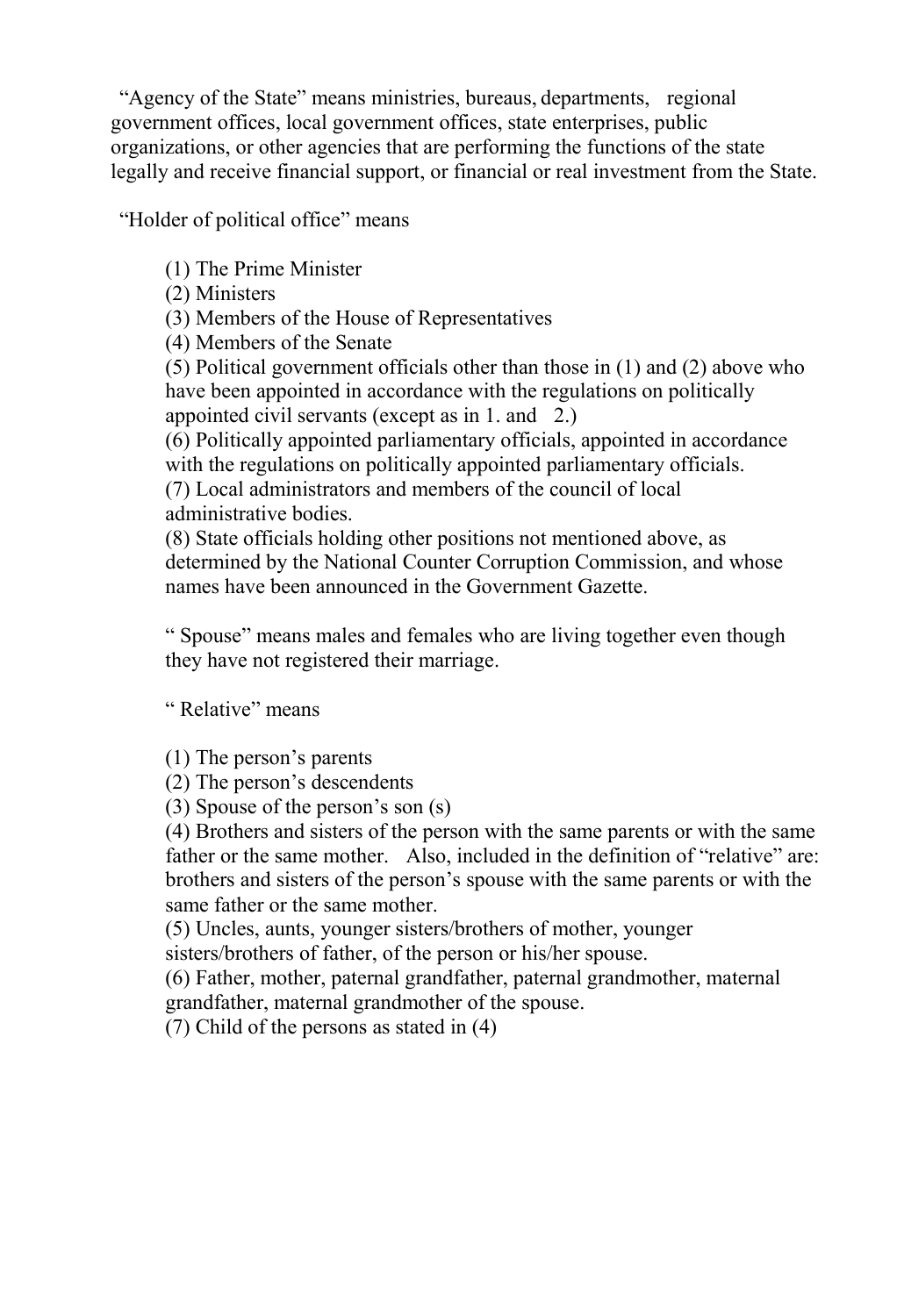"Agency of the State" means ministries, bureaus, departments, regional government offices, local government offices, state enterprises, public organizations, or other agencies that are performing the functions of the state legally and receive financial support, or financial or real investment from the State.

"Holder of political office" means

(1) The Prime Minister

(2) Ministers

(3) Members of the House of Representatives

(4) Members of the Senate

(5) Political government officials other than those in (1) and (2) above who have been appointed in accordance with the regulations on politically appointed civil servants (except as in 1. and 2.)

(6) Politically appointed parliamentary officials, appointed in accordance with the regulations on politically appointed parliamentary officials. (7) Local administrators and members of the council of local administrative bodies.

(8) State officials holding other positions not mentioned above, as determined by the National Counter Corruption Commission, and whose names have been announced in the Government Gazette.

" Spouse" means males and females who are living together even though they have not registered their marriage.

" Relative" means

(1) The person's parents

(2) The person's descendents

(3) Spouse of the person's son (s)

(4) Brothers and sisters of the person with the same parents or with the same father or the same mother. Also, included in the definition of "relative" are: brothers and sisters of the person's spouse with the same parents or with the same father or the same mother.

(5) Uncles, aunts, younger sisters/brothers of mother, younger

sisters/brothers of father, of the person or his/her spouse.

(6) Father, mother, paternal grandfather, paternal grandmother, maternal grandfather, maternal grandmother of the spouse.

(7) Child of the persons as stated in (4)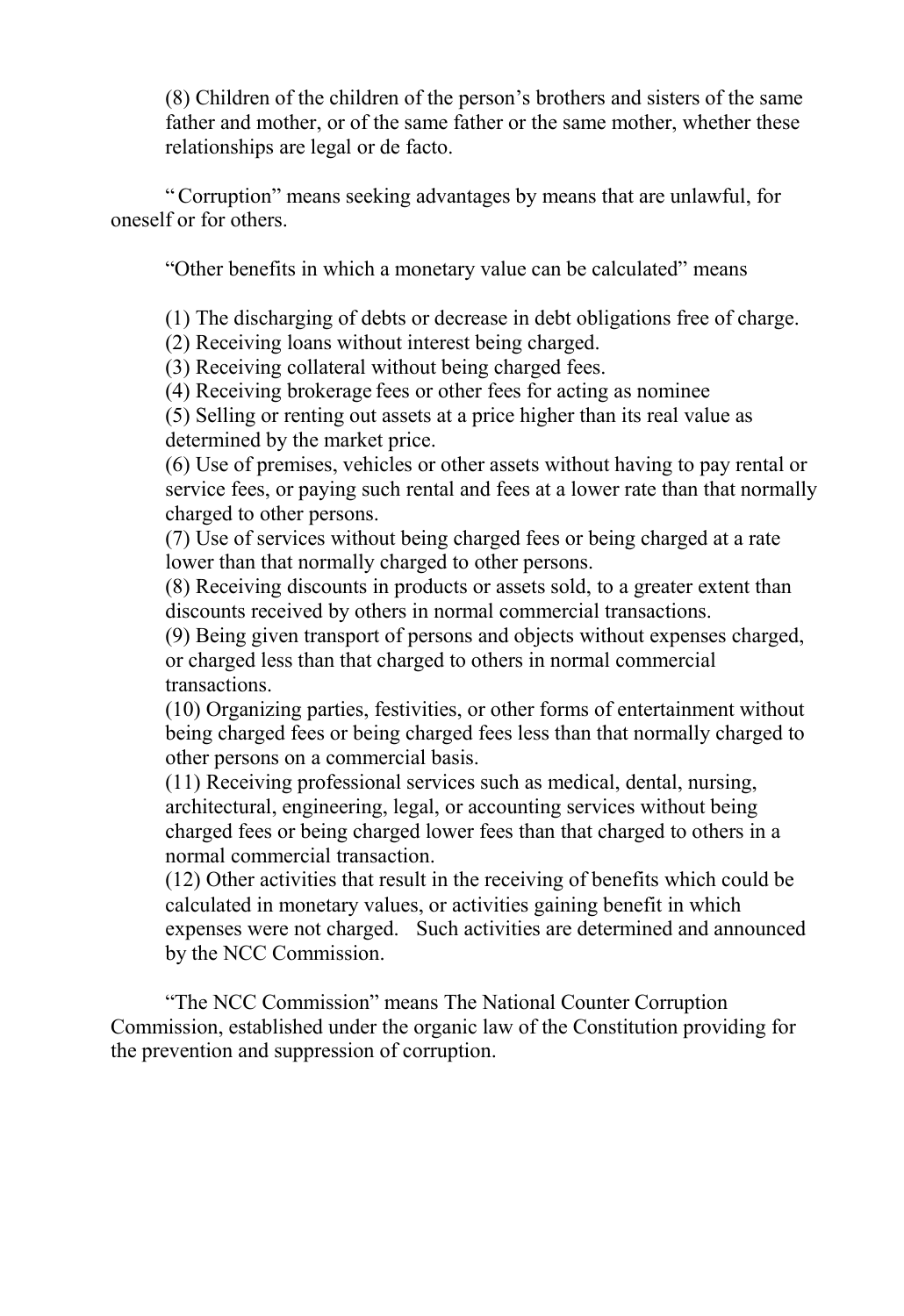(8) Children of the children of the person's brothers and sisters of the same father and mother, or of the same father or the same mother, whether these relationships are legal or de facto.

"Corruption" means seeking advantages by means that are unlawful, for oneself or for others.

"Other benefits in which a monetary value can be calculated" means

(1) The discharging of debts or decrease in debt obligations free of charge.

(2) Receiving loans without interest being charged.

(3) Receiving collateral without being charged fees.

(4) Receiving brokerage fees or other fees for acting as nominee

(5) Selling or renting out assets at a price higher than its real value as determined by the market price.

(6) Use of premises, vehicles or other assets without having to pay rental or service fees, or paying such rental and fees at a lower rate than that normally charged to other persons.

(7) Use of services without being charged fees or being charged at a rate lower than that normally charged to other persons.

(8) Receiving discounts in products or assets sold, to a greater extent than discounts received by others in normal commercial transactions.

(9) Being given transport of persons and objects without expenses charged, or charged less than that charged to others in normal commercial transactions.

(10) Organizing parties, festivities, or other forms of entertainment without being charged fees or being charged fees less than that normally charged to other persons on a commercial basis.

(11) Receiving professional services such as medical, dental, nursing, architectural, engineering, legal, or accounting services without being charged fees or being charged lower fees than that charged to others in a normal commercial transaction.

(12) Other activities that result in the receiving of benefits which could be calculated in monetary values, or activities gaining benefit in which expenses were not charged. Such activities are determined and announced by the NCC Commission.

"The NCC Commission" means The National Counter Corruption Commission, established under the organic law of the Constitution providing for the prevention and suppression of corruption.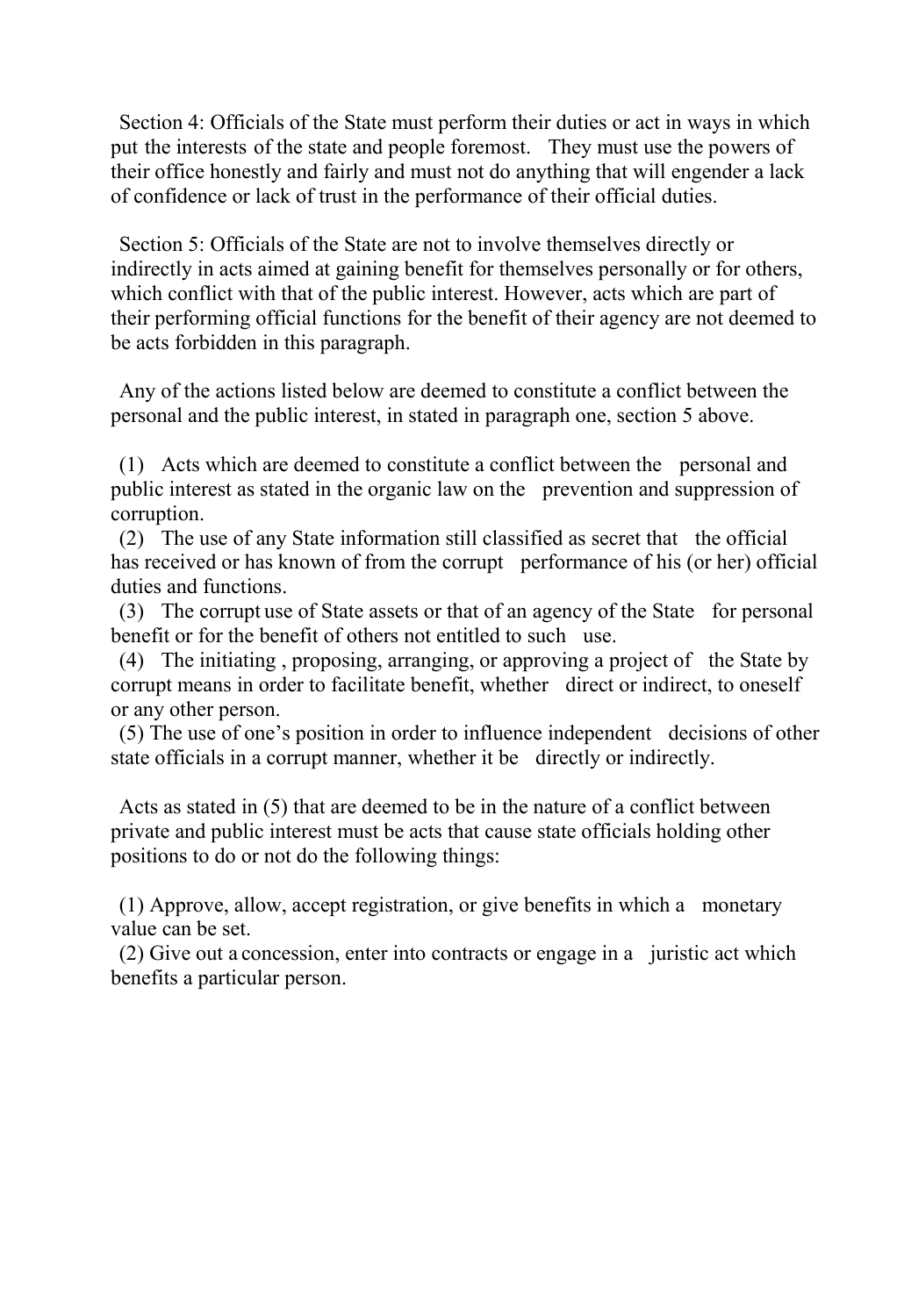Section 4: Officials of the State must perform their duties or act in ways in which put the interests of the state and people foremost. They must use the powers of their office honestly and fairly and must not do anything that will engender a lack of confidence or lack of trust in the performance of their official duties.

Section 5: Officials of the State are not to involve themselves directly or indirectly in acts aimed at gaining benefit for themselves personally or for others, which conflict with that of the public interest. However, acts which are part of their performing official functions for the benefit of their agency are not deemed to be acts forbidden in this paragraph.

Any of the actions listed below are deemed to constitute a conflict between the personal and the public interest, in stated in paragraph one, section 5 above.

(1) Acts which are deemed to constitute a conflict between the personal and public interest as stated in the organic law on the prevention and suppression of corruption.

(2) The use of any State information still classified as secret that the official has received or has known of from the corrupt performance of his (or her) official duties and functions.

(3) The corrupt use of State assets or that of an agency of the State for personal benefit or for the benefit of others not entitled to such use.

(4) The initiating , proposing, arranging, or approving a project of the State by corrupt means in order to facilitate benefit, whether direct or indirect, to oneself or any other person.

(5) The use of one's position in order to influence independent decisions of other state officials in a corrupt manner, whether it be directly or indirectly.

Acts as stated in (5) that are deemed to be in the nature of a conflict between private and public interest must be acts that cause state officials holding other positions to do or not do the following things:

(1) Approve, allow, accept registration, or give benefits in which a monetary value can be set.

(2) Give out a concession, enter into contracts or engage in a juristic act which benefits a particular person.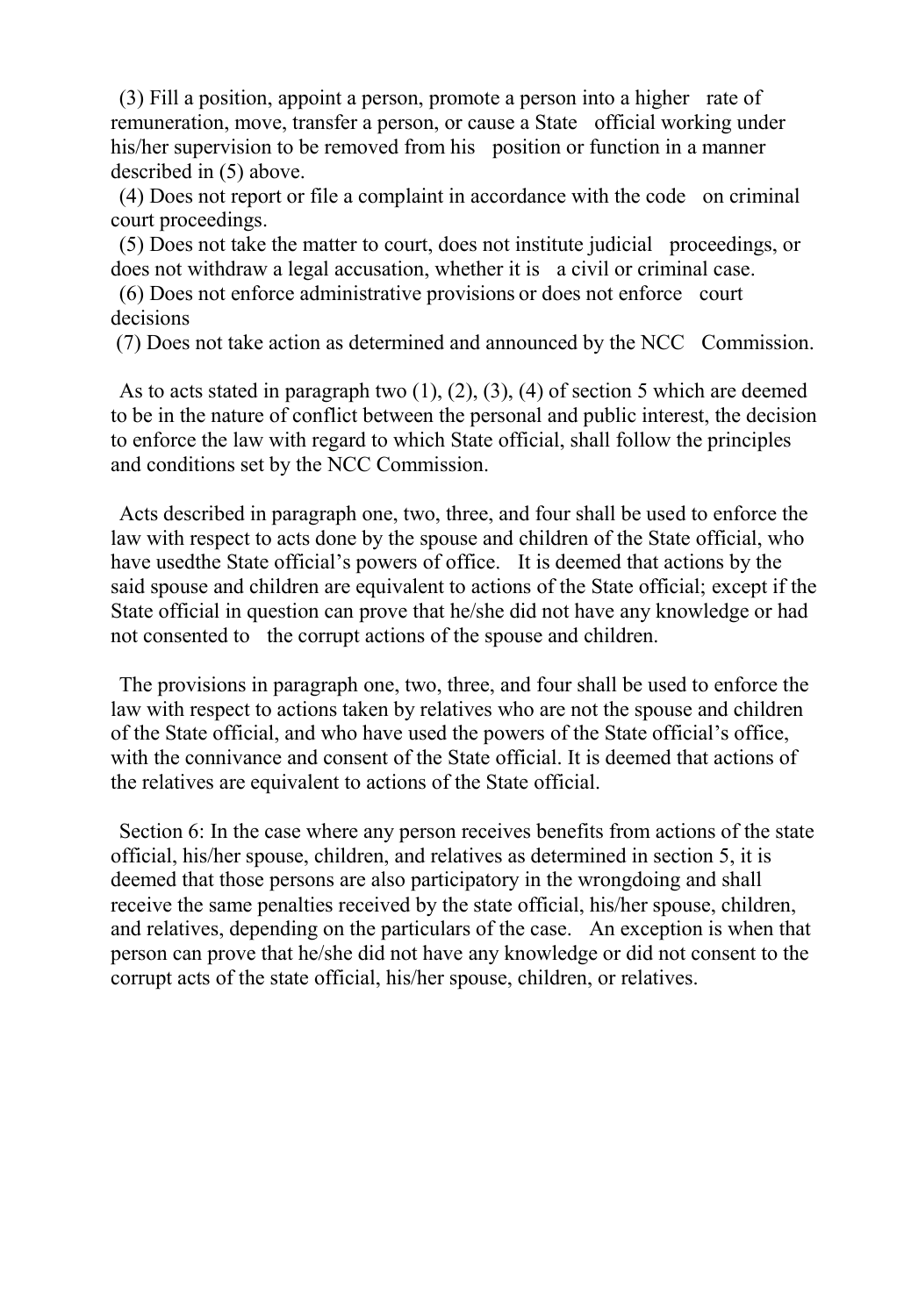(3) Fill a position, appoint a person, promote a person into a higher rate of remuneration, move, transfer a person, or cause a State official working under his/her supervision to be removed from his position or function in a manner described in (5) above.

(4) Does not report or file a complaint in accordance with the code on criminal court proceedings.

(5) Does not take the matter to court, does not institute judicial proceedings, or does not withdraw a legal accusation, whether it is a civil or criminal case.

(6) Does not enforce administrative provisions or does not enforce court decisions

(7) Does not take action as determined and announced by the NCC Commission.

As to acts stated in paragraph two (1), (2), (3), (4) of section 5 which are deemed to be in the nature of conflict between the personal and public interest, the decision to enforce the law with regard to which State official, shall follow the principles and conditions set by the NCC Commission.

Acts described in paragraph one, two, three, and four shall be used to enforce the law with respect to acts done by the spouse and children of the State official, who have usedthe State official's powers of office. It is deemed that actions by the said spouse and children are equivalent to actions of the State official; except if the State official in question can prove that he/she did not have any knowledge or had not consented to the corrupt actions of the spouse and children.

The provisions in paragraph one, two, three, and four shall be used to enforce the law with respect to actions taken by relatives who are not the spouse and children of the State official, and who have used the powers of the State official's office, with the connivance and consent of the State official. It is deemed that actions of the relatives are equivalent to actions of the State official.

Section 6: In the case where any person receives benefits from actions of the state official, his/her spouse, children, and relatives as determined in section 5, it is deemed that those persons are also participatory in the wrongdoing and shall receive the same penalties received by the state official, his/her spouse, children, and relatives, depending on the particulars of the case. An exception is when that person can prove that he/she did not have any knowledge or did not consent to the corrupt acts of the state official, his/her spouse, children, or relatives.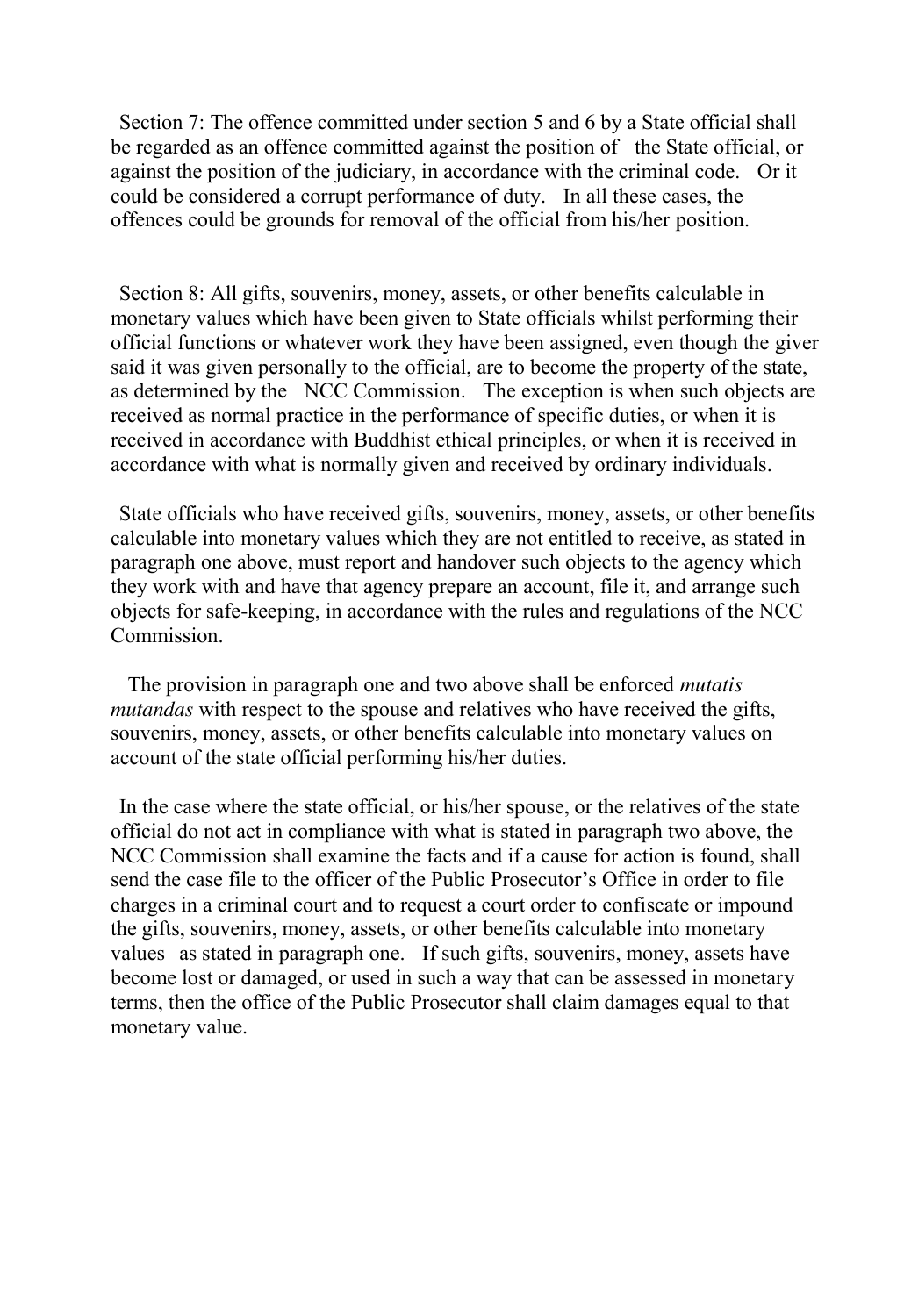Section 7: The offence committed under section 5 and 6 by a State official shall be regarded as an offence committed against the position of the State official, or against the position of the judiciary, in accordance with the criminal code. Or it could be considered a corrupt performance of duty. In all these cases, the offences could be grounds for removal of the official from his/her position.

Section 8: All gifts, souvenirs, money, assets, or other benefits calculable in monetary values which have been given to State officials whilst performing their official functions or whatever work they have been assigned, even though the giver said it was given personally to the official, are to become the property of the state, as determined by the NCC Commission. The exception is when such objects are received as normal practice in the performance of specific duties, or when it is received in accordance with Buddhist ethical principles, or when it is received in accordance with what is normally given and received by ordinary individuals.

State officials who have received gifts, souvenirs, money, assets, or other benefits calculable into monetary values which they are not entitled to receive, as stated in paragraph one above, must report and handover such objects to the agency which they work with and have that agency prepare an account, file it, and arrange such objects for safe-keeping, in accordance with the rules and regulations of the NCC Commission.

 The provision in paragraph one and two above shall be enforced *mutatis mutandas* with respect to the spouse and relatives who have received the gifts, souvenirs, money, assets, or other benefits calculable into monetary values on account of the state official performing his/her duties.

In the case where the state official, or his/her spouse, or the relatives of the state official do not act in compliance with what is stated in paragraph two above, the NCC Commission shall examine the facts and if a cause for action is found, shall send the case file to the officer of the Public Prosecutor's Office in order to file charges in a criminal court and to request a court order to confiscate or impound the gifts, souvenirs, money, assets, or other benefits calculable into monetary values as stated in paragraph one. If such gifts, souvenirs, money, assets have become lost or damaged, or used in such a way that can be assessed in monetary terms, then the office of the Public Prosecutor shall claim damages equal to that monetary value.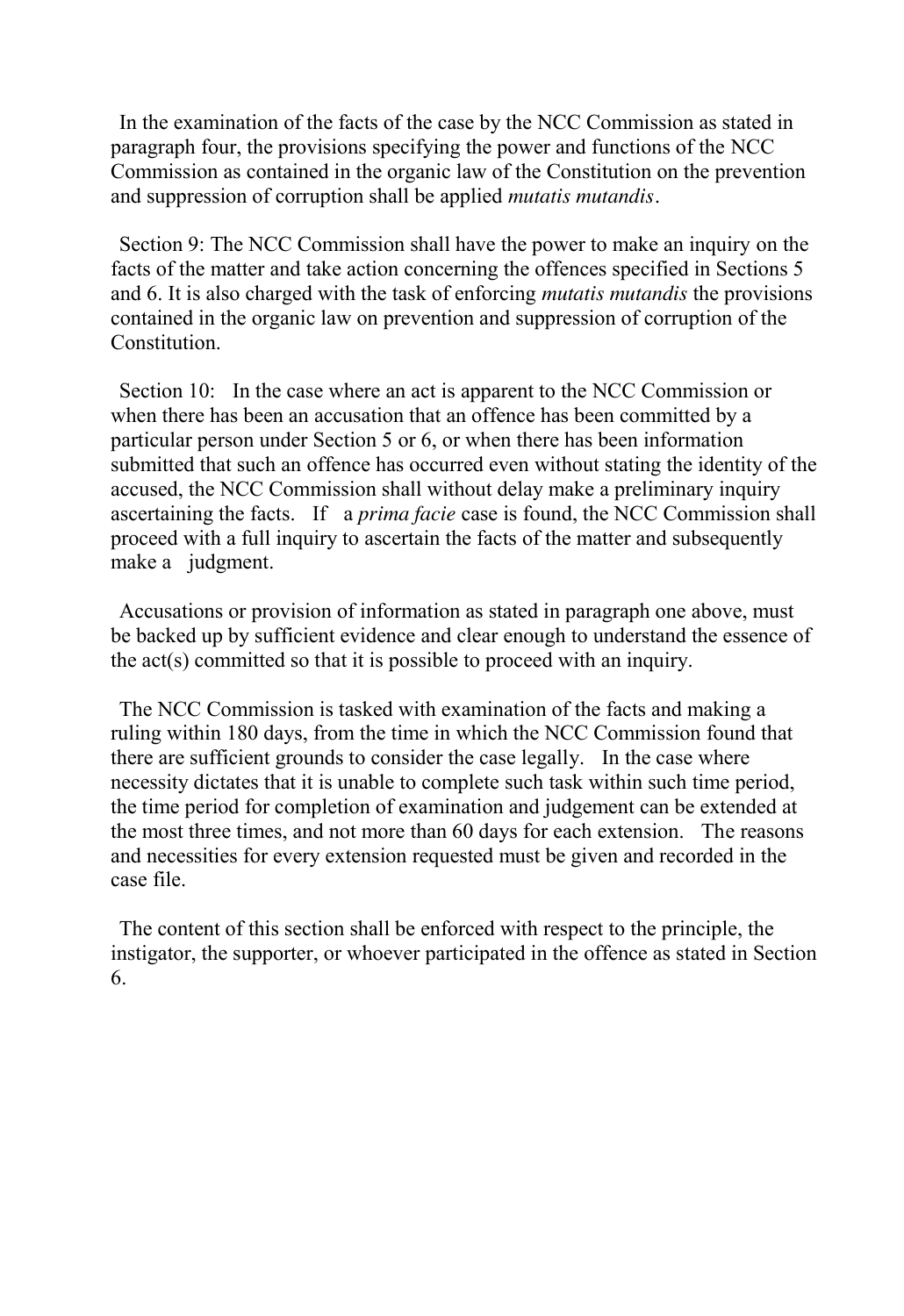In the examination of the facts of the case by the NCC Commission as stated in paragraph four, the provisions specifying the power and functions of the NCC Commission as contained in the organic law of the Constitution on the prevention and suppression of corruption shall be applied *mutatis mutandis.*

Section 9: The NCC Commission shall have the power to make an inquiry on the facts of the matter and take action concerning the offences specified in Sections 5 and 6. It is also charged with the task of enforcing *mutatis mutandis* the provisions contained in the organic law on prevention and suppression of corruption of the Constitution.

Section 10: In the case where an act is apparent to the NCC Commission or when there has been an accusation that an offence has been committed by a particular person under Section 5 or 6, or when there has been information submitted that such an offence has occurred even without stating the identity of the accused, the NCC Commission shall without delay make a preliminary inquiry ascertaining the facts. If a *prima facie* case is found, the NCC Commission shall proceed with a full inquiry to ascertain the facts of the matter and subsequently make a judgment.

Accusations or provision of information as stated in paragraph one above, must be backed up by sufficient evidence and clear enough to understand the essence of the act(s) committed so that it is possible to proceed with an inquiry.

The NCC Commission is tasked with examination of the facts and making a ruling within 180 days, from the time in which the NCC Commission found that there are sufficient grounds to consider the case legally. In the case where necessity dictates that it is unable to complete such task within such time period, the time period for completion of examination and judgement can be extended at the most three times, and not more than 60 days for each extension. The reasons and necessities for every extension requested must be given and recorded in the case file.

The content of this section shall be enforced with respect to the principle, the instigator, the supporter, or whoever participated in the offence as stated in Section 6.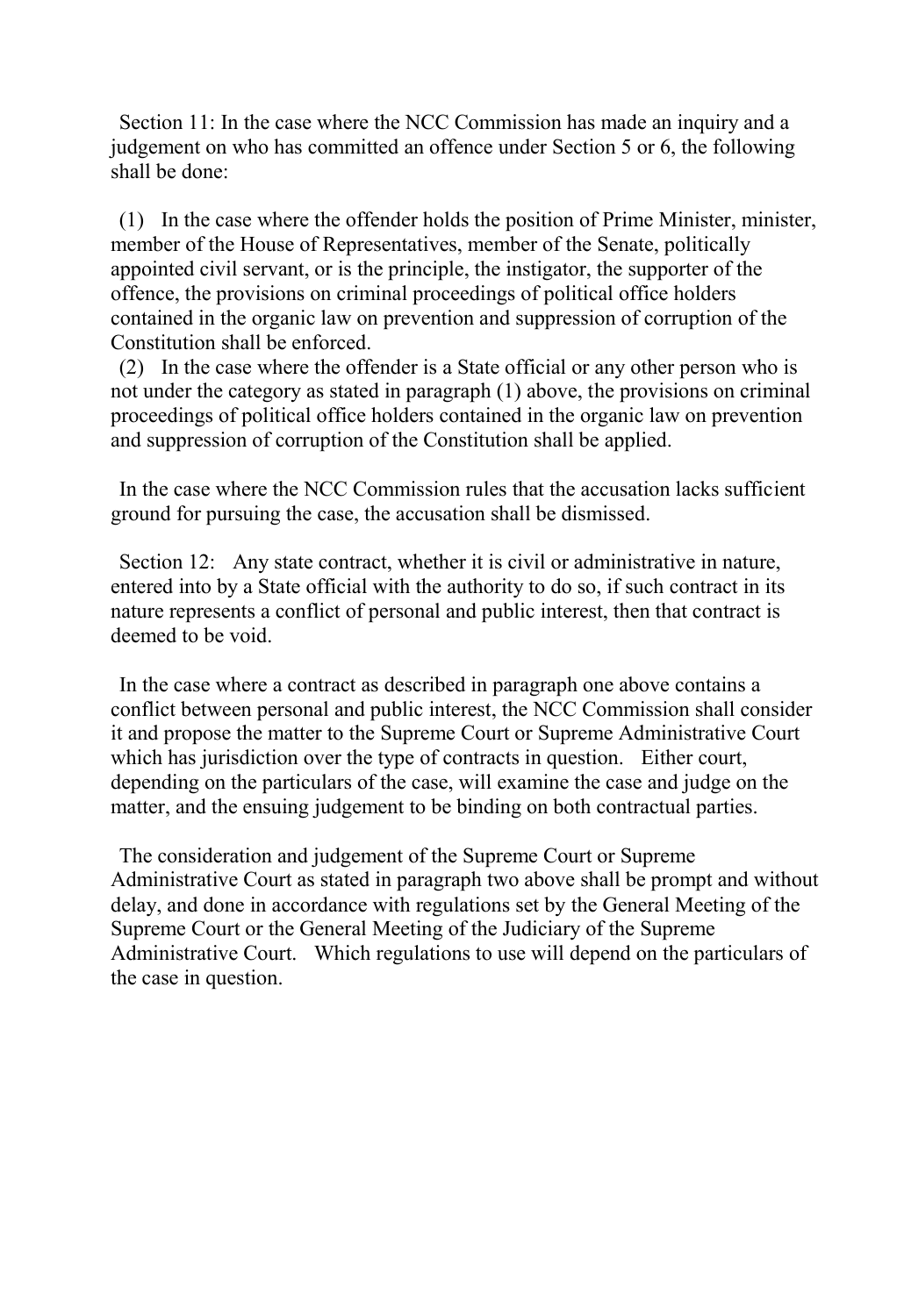Section 11: In the case where the NCC Commission has made an inquiry and a judgement on who has committed an offence under Section 5 or 6, the following shall be done:

(1) In the case where the offender holds the position of Prime Minister, minister, member of the House of Representatives, member of the Senate, politically appointed civil servant, or is the principle, the instigator, the supporter of the offence, the provisions on criminal proceedings of political office holders contained in the organic law on prevention and suppression of corruption of the Constitution shall be enforced.

(2) In the case where the offender is a State official or any other person who is not under the category as stated in paragraph (1) above, the provisions on criminal proceedings of political office holders contained in the organic law on prevention and suppression of corruption of the Constitution shall be applied.

In the case where the NCC Commission rules that the accusation lacks sufficient ground for pursuing the case, the accusation shall be dismissed.

Section 12: Any state contract, whether it is civil or administrative in nature, entered into by a State official with the authority to do so, if such contract in its nature represents a conflict of personal and public interest, then that contract is deemed to be void.

In the case where a contract as described in paragraph one above contains a conflict between personal and public interest, the NCC Commission shall consider it and propose the matter to the Supreme Court or Supreme Administrative Court which has jurisdiction over the type of contracts in question. Either court, depending on the particulars of the case, will examine the case and judge on the matter, and the ensuing judgement to be binding on both contractual parties.

The consideration and judgement of the Supreme Court or Supreme Administrative Court as stated in paragraph two above shall be prompt and without delay, and done in accordance with regulations set by the General Meeting of the Supreme Court or the General Meeting of the Judiciary of the Supreme Administrative Court. Which regulations to use will depend on the particulars of the case in question.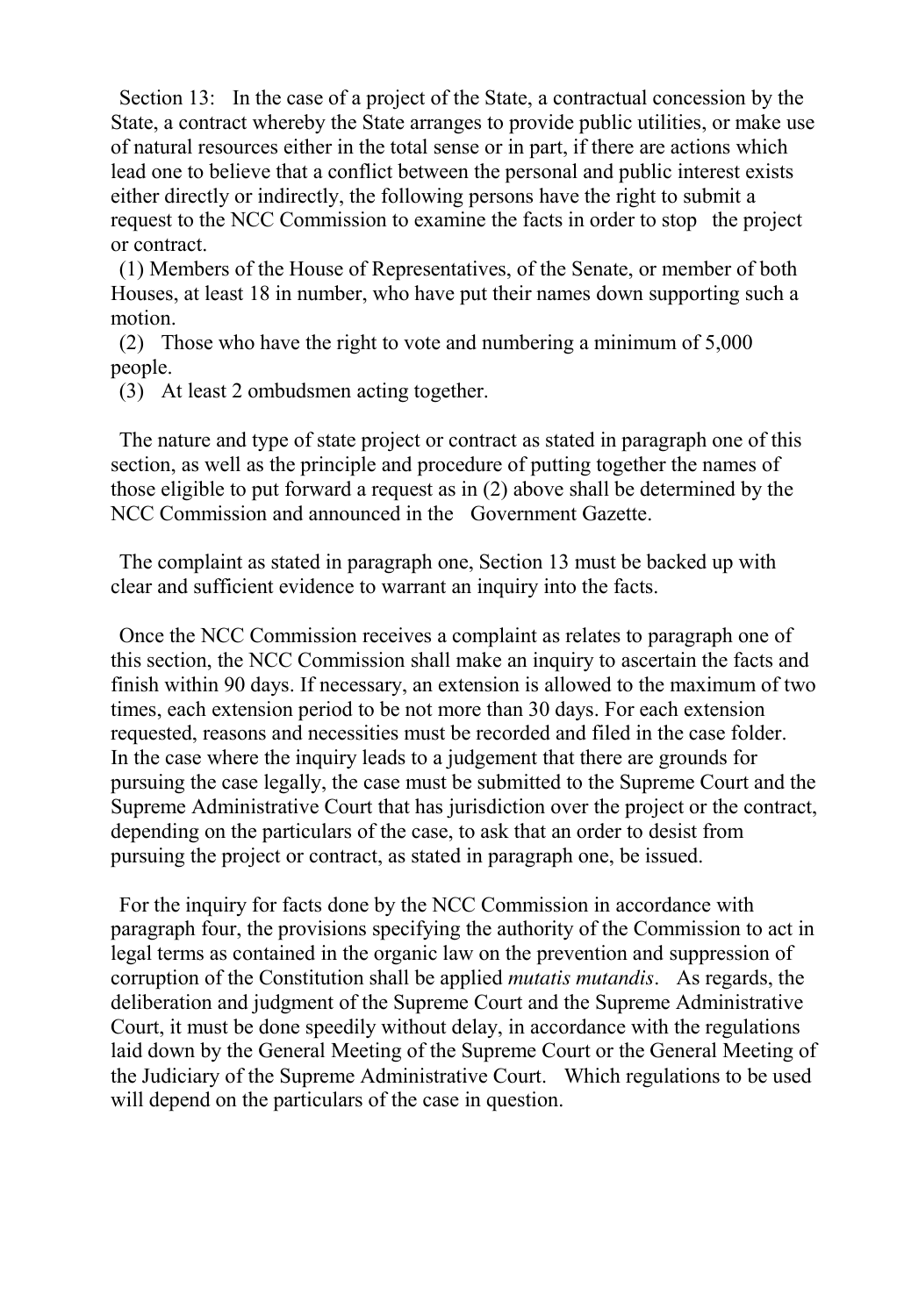Section 13: In the case of a project of the State, a contractual concession by the State, a contract whereby the State arranges to provide public utilities, or make use of natural resources either in the total sense or in part, if there are actions which lead one to believe that a conflict between the personal and public interest exists either directly or indirectly, the following persons have the right to submit a request to the NCC Commission to examine the facts in order to stop the project or contract.

(1) Members of the House of Representatives, of the Senate, or member of both Houses, at least 18 in number, who have put their names down supporting such a motion.

(2) Those who have the right to vote and numbering a minimum of 5,000 people.

(3) At least 2 ombudsmen acting together.

The nature and type of state project or contract as stated in paragraph one of this section, as well as the principle and procedure of putting together the names of those eligible to put forward a request as in (2) above shall be determined by the NCC Commission and announced in the Government Gazette.

The complaint as stated in paragraph one, Section 13 must be backed up with clear and sufficient evidence to warrant an inquiry into the facts.

Once the NCC Commission receives a complaint as relates to paragraph one of this section, the NCC Commission shall make an inquiry to ascertain the facts and finish within 90 days. If necessary, an extension is allowed to the maximum of two times, each extension period to be not more than 30 days. For each extension requested, reasons and necessities must be recorded and filed in the case folder. In the case where the inquiry leads to a judgement that there are grounds for pursuing the case legally, the case must be submitted to the Supreme Court and the Supreme Administrative Court that has jurisdiction over the project or the contract, depending on the particulars of the case, to ask that an order to desist from pursuing the project or contract, as stated in paragraph one, be issued.

For the inquiry for facts done by the NCC Commission in accordance with paragraph four, the provisions specifying the authority of the Commission to act in legal terms as contained in the organic law on the prevention and suppression of corruption of the Constitution shall be applied *mutatis mutandis*. As regards, the deliberation and judgment of the Supreme Court and the Supreme Administrative Court, it must be done speedily without delay, in accordance with the regulations laid down by the General Meeting of the Supreme Court or the General Meeting of the Judiciary of the Supreme Administrative Court. Which regulations to be used will depend on the particulars of the case in question.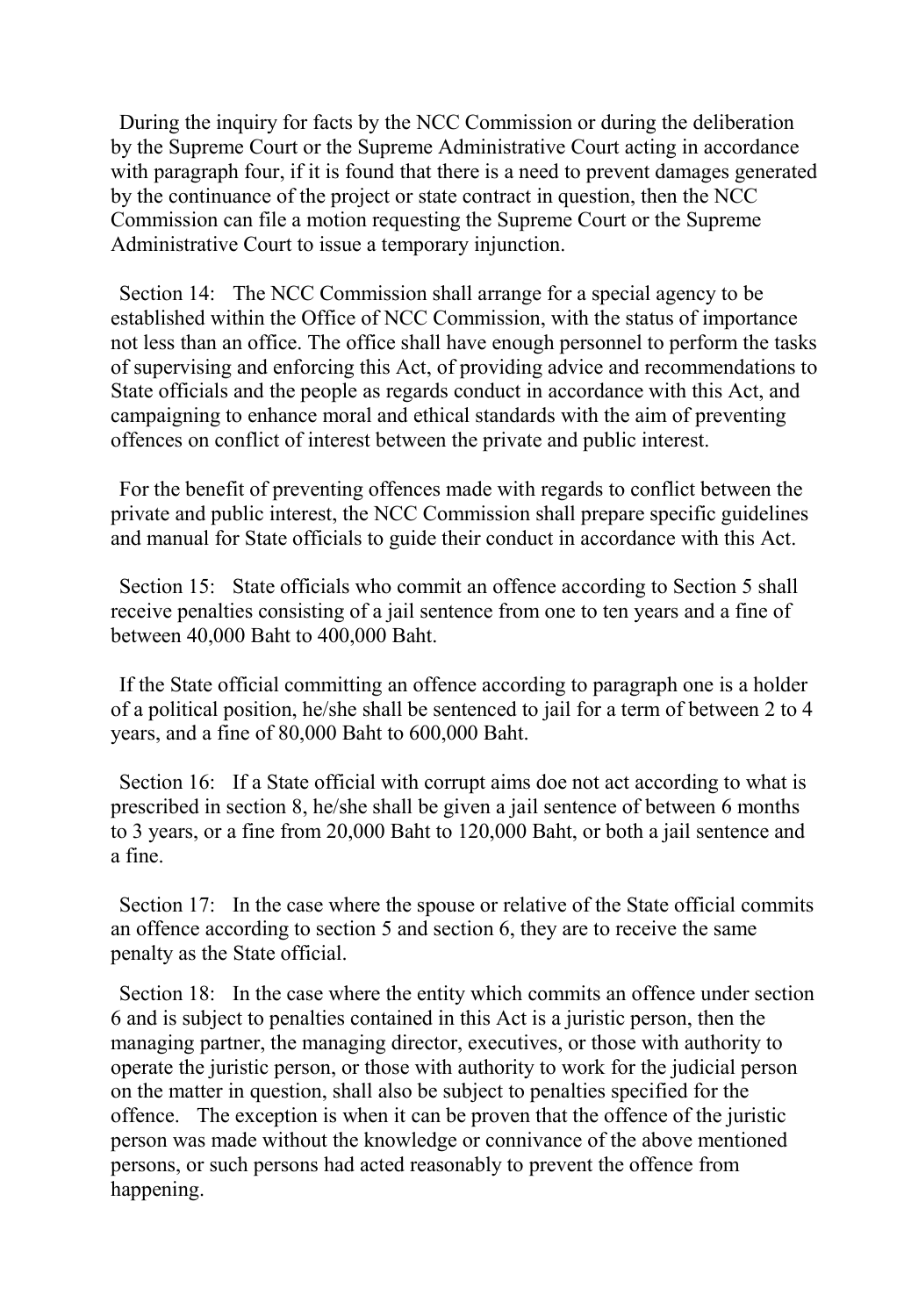During the inquiry for facts by the NCC Commission or during the deliberation by the Supreme Court or the Supreme Administrative Court acting in accordance with paragraph four, if it is found that there is a need to prevent damages generated by the continuance of the project or state contract in question, then the NCC Commission can file a motion requesting the Supreme Court or the Supreme Administrative Court to issue a temporary injunction.

Section 14: The NCC Commission shall arrange for a special agency to be established within the Office of NCC Commission, with the status of importance not less than an office. The office shall have enough personnel to perform the tasks of supervising and enforcing this Act, of providing advice and recommendations to State officials and the people as regards conduct in accordance with this Act, and campaigning to enhance moral and ethical standards with the aim of preventing offences on conflict of interest between the private and public interest.

For the benefit of preventing offences made with regards to conflict between the private and public interest, the NCC Commission shall prepare specific guidelines and manual for State officials to guide their conduct in accordance with this Act.

Section 15: State officials who commit an offence according to Section 5 shall receive penalties consisting of a jail sentence from one to ten years and a fine of between 40,000 Baht to 400,000 Baht.

If the State official committing an offence according to paragraph one is a holder of a political position, he/she shall be sentenced to jail for a term of between 2 to 4 years, and a fine of 80,000 Baht to 600,000 Baht.

Section 16: If a State official with corrupt aims doe not act according to what is prescribed in section 8, he/she shall be given a jail sentence of between 6 months to 3 years, or a fine from 20,000 Baht to 120,000 Baht, or both a jail sentence and a fine.

Section 17: In the case where the spouse or relative of the State official commits an offence according to section 5 and section 6, they are to receive the same penalty as the State official.

Section 18: In the case where the entity which commits an offence under section 6 and is subject to penalties contained in this Act is a juristic person, then the managing partner, the managing director, executives, or those with authority to operate the juristic person, or those with authority to work for the judicial person on the matter in question, shall also be subject to penalties specified for the offence. The exception is when it can be proven that the offence of the juristic person was made without the knowledge or connivance of the above mentioned persons, or such persons had acted reasonably to prevent the offence from happening.